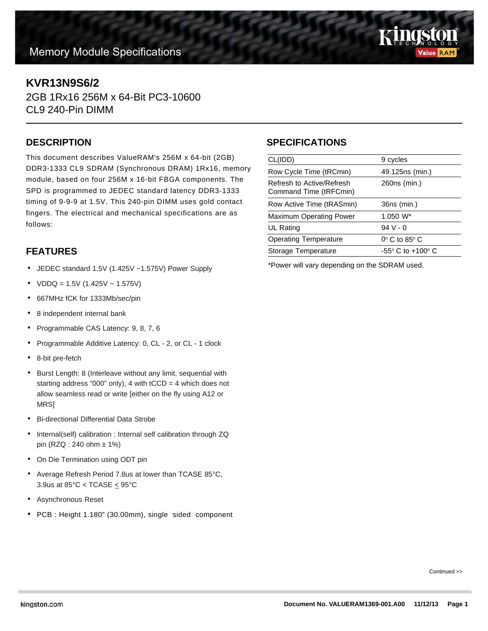

# **KVR13N9S6/2**

2GB 1Rx16 256M x 64-Bit PC3-10600 CL9 240-Pin DIMM

#### **DESCRIPTION**

This document describes ValueRAM's 256M x 64-bit (2GB) DDR3-1333 CL9 SDRAM (Synchronous DRAM) 1Rx16, memory module, based on four 256M x 16-bit FBGA components. The SPD is programmed to JEDEC standard latency DDR3-1333 timing of 9-9-9 at 1.5V. This 240-pin DIMM uses gold contact fingers. The electrical and mechanical specifications are as follows:

## **FEATURES**

- JEDEC standard 1.5V (1.425V ~1.575V) Power Supply
- $VDDQ = 1.5V (1.425V 1.575V)$
- 667MHz fCK for 1333Mb/sec/pin
- 8 independent internal bank
- Programmable CAS Latency: 9, 8, 7, 6
- Programmable Additive Latency: 0, CL 2, or CL 1 clock
- 8-bit pre-fetch
- Burst Length: 8 (Interleave without any limit, sequential with starting address "000" only), 4 with  $tCCD = 4$  which does not allow seamless read or write [either on the fly using A12 or MRS]
- Bi-directional Differential Data Strobe
- Internal(self) calibration : Internal self calibration through ZQ pin (RZQ : 240 ohm ± 1%)
- On Die Termination using ODT pin
- Average Refresh Period 7.8us at lower than TCASE 85°C, 3.9us at 85 $°C <$  TCASE  $\leq$  95 $°C$
- Asynchronous Reset
- PCB : Height 1.180" (30.00mm), single sided component

### **SPECIFICATIONS**

| CL(IDD)                                             | 9 cycles                            |
|-----------------------------------------------------|-------------------------------------|
| Row Cycle Time (tRCmin)                             | 49.125ns (min.)                     |
| Refresh to Active/Refresh<br>Command Time (tRFCmin) | 260ns (min.)                        |
| Row Active Time (tRASmin)                           | 36ns (min.)                         |
| Maximum Operating Power                             | $1.050 W^*$                         |
| UL Rating                                           | $94V - 0$                           |
| <b>Operating Temperature</b>                        | $0^\circ$ C to 85 $^\circ$ C        |
| Storage Temperature                                 | $-55^{\circ}$ C to $+100^{\circ}$ C |
|                                                     |                                     |

\*Power will vary depending on the SDRAM used.

Continued >>